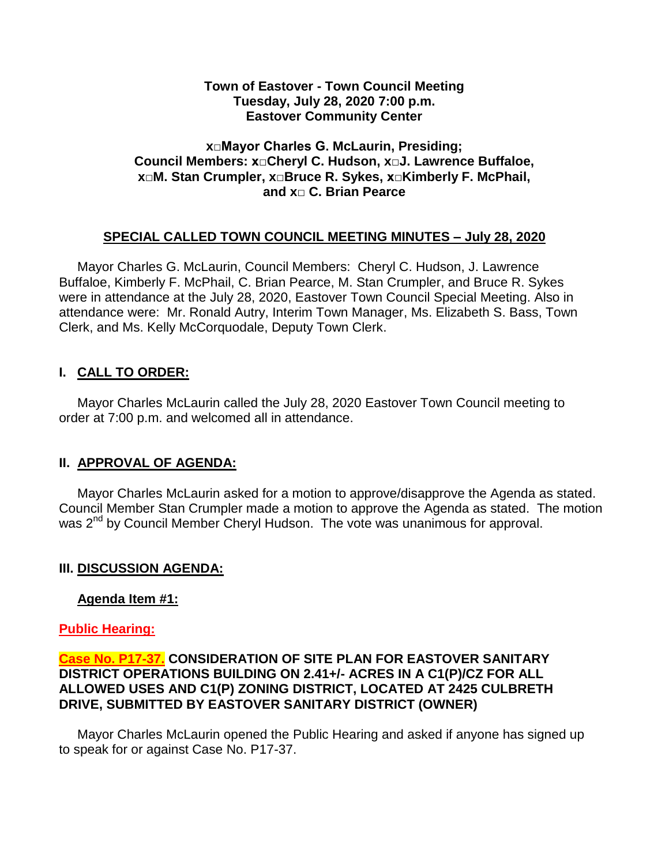#### **Town of Eastover - Town Council Meeting Tuesday, July 28, 2020 7:00 p.m. Eastover Community Center**

### **x□Mayor Charles G. McLaurin, Presiding; Council Members: x□Cheryl C. Hudson, x□J. Lawrence Buffaloe, x□M. Stan Crumpler, x□Bruce R. Sykes, x□Kimberly F. McPhail, and x□ C. Brian Pearce**

### **SPECIAL CALLED TOWN COUNCIL MEETING MINUTES – July 28, 2020**

 Mayor Charles G. McLaurin, Council Members: Cheryl C. Hudson, J. Lawrence Buffaloe, Kimberly F. McPhail, C. Brian Pearce, M. Stan Crumpler, and Bruce R. Sykes were in attendance at the July 28, 2020, Eastover Town Council Special Meeting. Also in attendance were: Mr. Ronald Autry, Interim Town Manager, Ms. Elizabeth S. Bass, Town Clerk, and Ms. Kelly McCorquodale, Deputy Town Clerk.

# **I. CALL TO ORDER:**

 Mayor Charles McLaurin called the July 28, 2020 Eastover Town Council meeting to order at 7:00 p.m. and welcomed all in attendance.

### **II. APPROVAL OF AGENDA:**

 Mayor Charles McLaurin asked for a motion to approve/disapprove the Agenda as stated. Council Member Stan Crumpler made a motion to approve the Agenda as stated. The motion was 2<sup>nd</sup> by Council Member Cheryl Hudson. The vote was unanimous for approval.

### **III. DISCUSSION AGENDA:**

### **Agenda Item #1:**

### **Public Hearing:**

#### **Case No. P17-37. CONSIDERATION OF SITE PLAN FOR EASTOVER SANITARY DISTRICT OPERATIONS BUILDING ON 2.41+/- ACRES IN A C1(P)/CZ FOR ALL ALLOWED USES AND C1(P) ZONING DISTRICT, LOCATED AT 2425 CULBRETH DRIVE, SUBMITTED BY EASTOVER SANITARY DISTRICT (OWNER)**

 Mayor Charles McLaurin opened the Public Hearing and asked if anyone has signed up to speak for or against Case No. P17-37.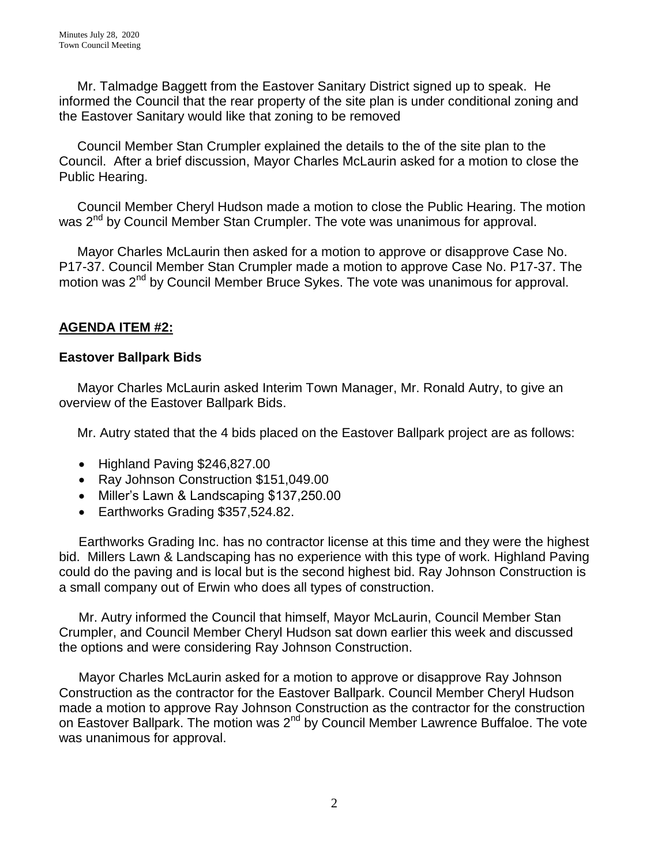Mr. Talmadge Baggett from the Eastover Sanitary District signed up to speak. He informed the Council that the rear property of the site plan is under conditional zoning and the Eastover Sanitary would like that zoning to be removed

 Council Member Stan Crumpler explained the details to the of the site plan to the Council. After a brief discussion, Mayor Charles McLaurin asked for a motion to close the Public Hearing.

 Council Member Cheryl Hudson made a motion to close the Public Hearing. The motion was 2<sup>nd</sup> by Council Member Stan Crumpler. The vote was unanimous for approval.

 Mayor Charles McLaurin then asked for a motion to approve or disapprove Case No. P17-37. Council Member Stan Crumpler made a motion to approve Case No. P17-37. The motion was 2<sup>nd</sup> by Council Member Bruce Sykes. The vote was unanimous for approval.

# **AGENDA ITEM #2:**

### **Eastover Ballpark Bids**

 Mayor Charles McLaurin asked Interim Town Manager, Mr. Ronald Autry, to give an overview of the Eastover Ballpark Bids.

Mr. Autry stated that the 4 bids placed on the Eastover Ballpark project are as follows:

- Highland Paving \$246,827.00
- Ray Johnson Construction \$151,049.00
- Miller's Lawn & Landscaping \$137,250.00
- Earthworks Grading \$357,524.82.

Earthworks Grading Inc. has no contractor license at this time and they were the highest bid. Millers Lawn & Landscaping has no experience with this type of work. Highland Paving could do the paving and is local but is the second highest bid. Ray Johnson Construction is a small company out of Erwin who does all types of construction.

Mr. Autry informed the Council that himself, Mayor McLaurin, Council Member Stan Crumpler, and Council Member Cheryl Hudson sat down earlier this week and discussed the options and were considering Ray Johnson Construction.

Mayor Charles McLaurin asked for a motion to approve or disapprove Ray Johnson Construction as the contractor for the Eastover Ballpark. Council Member Cheryl Hudson made a motion to approve Ray Johnson Construction as the contractor for the construction on Eastover Ballpark. The motion was 2<sup>nd</sup> by Council Member Lawrence Buffaloe. The vote was unanimous for approval.